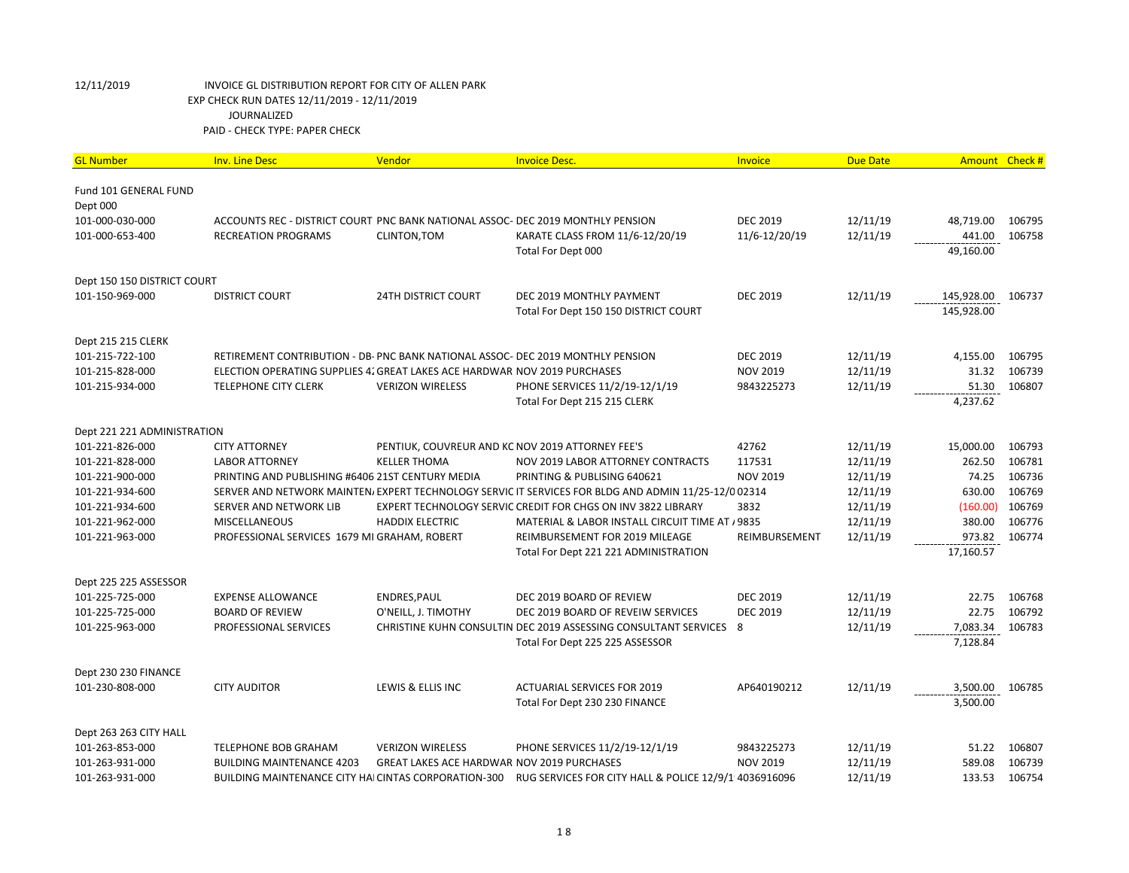| <b>GL Number</b>                  | <b>Inv. Line Desc</b>                                                           | Vendor                                            | <b>Invoice Desc.</b>                                                                                 | Invoice         | <b>Due Date</b> |            | Amount Check # |
|-----------------------------------|---------------------------------------------------------------------------------|---------------------------------------------------|------------------------------------------------------------------------------------------------------|-----------------|-----------------|------------|----------------|
| Fund 101 GENERAL FUND<br>Dept 000 |                                                                                 |                                                   |                                                                                                      |                 |                 |            |                |
| 101-000-030-000                   | ACCOUNTS REC - DISTRICT COURT PNC BANK NATIONAL ASSOC- DEC 2019 MONTHLY PENSION |                                                   |                                                                                                      | <b>DEC 2019</b> | 12/11/19        | 48,719.00  | 106795         |
| 101-000-653-400                   | <b>RECREATION PROGRAMS</b>                                                      | CLINTON, TOM                                      | KARATE CLASS FROM 11/6-12/20/19                                                                      | 11/6-12/20/19   | 12/11/19        | 441.00     | 106758         |
|                                   |                                                                                 |                                                   | Total For Dept 000                                                                                   |                 |                 | 49,160.00  |                |
| Dept 150 150 DISTRICT COURT       |                                                                                 |                                                   |                                                                                                      |                 |                 |            |                |
| 101-150-969-000                   | <b>DISTRICT COURT</b>                                                           | <b>24TH DISTRICT COURT</b>                        | DEC 2019 MONTHLY PAYMENT                                                                             | <b>DEC 2019</b> | 12/11/19        | 145,928.00 | 106737         |
|                                   |                                                                                 |                                                   | Total For Dept 150 150 DISTRICT COURT                                                                |                 |                 | 145,928.00 |                |
| Dept 215 215 CLERK                |                                                                                 |                                                   |                                                                                                      |                 |                 |            |                |
| 101-215-722-100                   | RETIREMENT CONTRIBUTION - DB- PNC BANK NATIONAL ASSOC- DEC 2019 MONTHLY PENSION |                                                   |                                                                                                      | <b>DEC 2019</b> | 12/11/19        | 4,155.00   | 106795         |
| 101-215-828-000                   | ELECTION OPERATING SUPPLIES 4. GREAT LAKES ACE HARDWAR NOV 2019 PURCHASES       |                                                   |                                                                                                      | <b>NOV 2019</b> | 12/11/19        | 31.32      | 106739         |
| 101-215-934-000                   | <b>TELEPHONE CITY CLERK</b>                                                     | <b>VERIZON WIRELESS</b>                           | PHONE SERVICES 11/2/19-12/1/19                                                                       | 9843225273      | 12/11/19        | 51.30      | 106807         |
|                                   |                                                                                 |                                                   | Total For Dept 215 215 CLERK                                                                         |                 |                 | 4,237.62   |                |
| Dept 221 221 ADMINISTRATION       |                                                                                 |                                                   |                                                                                                      |                 |                 |            |                |
| 101-221-826-000                   | <b>CITY ATTORNEY</b>                                                            | PENTIUK, COUVREUR AND KC NOV 2019 ATTORNEY FEE'S  |                                                                                                      | 42762           | 12/11/19        | 15,000.00  | 106793         |
| 101-221-828-000                   | <b>LABOR ATTORNEY</b>                                                           | <b>KELLER THOMA</b>                               | NOV 2019 LABOR ATTORNEY CONTRACTS                                                                    | 117531          | 12/11/19        | 262.50     | 106781         |
| 101-221-900-000                   | PRINTING AND PUBLISHING #6406 21ST CENTURY MEDIA                                |                                                   | PRINTING & PUBLISING 640621                                                                          | <b>NOV 2019</b> | 12/11/19        | 74.25      | 106736         |
| 101-221-934-600                   |                                                                                 |                                                   | SERVER AND NETWORK MAINTEN/ EXPERT TECHNOLOGY SERVIC IT SERVICES FOR BLDG AND ADMIN 11/25-12/0 02314 |                 | 12/11/19        | 630.00     | 106769         |
| 101-221-934-600                   | SERVER AND NETWORK LIB                                                          |                                                   | EXPERT TECHNOLOGY SERVIC CREDIT FOR CHGS ON INV 3822 LIBRARY                                         | 3832            | 12/11/19        | (160.00)   | 106769         |
| 101-221-962-000                   | <b>MISCELLANEOUS</b>                                                            | <b>HADDIX ELECTRIC</b>                            | MATERIAL & LABOR INSTALL CIRCUIT TIME AT / 9835                                                      |                 | 12/11/19        | 380.00     | 106776         |
| 101-221-963-000                   | PROFESSIONAL SERVICES 1679 MI GRAHAM, ROBERT                                    |                                                   | REIMBURSEMENT FOR 2019 MILEAGE                                                                       | REIMBURSEMENT   | 12/11/19        | 973.82     | 106774         |
|                                   |                                                                                 |                                                   | Total For Dept 221 221 ADMINISTRATION                                                                |                 |                 | 17,160.57  |                |
| Dept 225 225 ASSESSOR             |                                                                                 |                                                   |                                                                                                      |                 |                 |            |                |
| 101-225-725-000                   | <b>EXPENSE ALLOWANCE</b>                                                        | ENDRES, PAUL                                      | DEC 2019 BOARD OF REVIEW                                                                             | <b>DEC 2019</b> | 12/11/19        | 22.75      | 106768         |
| 101-225-725-000                   | <b>BOARD OF REVIEW</b>                                                          | O'NEILL, J. TIMOTHY                               | DEC 2019 BOARD OF REVEIW SERVICES                                                                    | <b>DEC 2019</b> | 12/11/19        | 22.75      | 106792         |
| 101-225-963-000                   | PROFESSIONAL SERVICES                                                           |                                                   | CHRISTINE KUHN CONSULTIN DEC 2019 ASSESSING CONSULTANT SERVICES 8                                    |                 | 12/11/19        | 7,083.34   | 106783         |
|                                   |                                                                                 |                                                   | Total For Dept 225 225 ASSESSOR                                                                      |                 |                 | 7,128.84   |                |
| Dept 230 230 FINANCE              |                                                                                 |                                                   |                                                                                                      |                 |                 |            |                |
| 101-230-808-000                   | <b>CITY AUDITOR</b>                                                             | LEWIS & ELLIS INC                                 | <b>ACTUARIAL SERVICES FOR 2019</b>                                                                   | AP640190212     | 12/11/19        | 3,500.00   | 106785         |
|                                   |                                                                                 |                                                   | Total For Dept 230 230 FINANCE                                                                       |                 |                 | 3,500.00   |                |
| Dept 263 263 CITY HALL            |                                                                                 |                                                   |                                                                                                      |                 |                 |            |                |
| 101-263-853-000                   | <b>TELEPHONE BOB GRAHAM</b>                                                     | <b>VERIZON WIRELESS</b>                           | PHONE SERVICES 11/2/19-12/1/19                                                                       | 9843225273      | 12/11/19        | 51.22      | 106807         |
| 101-263-931-000                   | <b>BUILDING MAINTENANCE 4203</b>                                                | <b>GREAT LAKES ACE HARDWAR NOV 2019 PURCHASES</b> |                                                                                                      | <b>NOV 2019</b> | 12/11/19        | 589.08     | 106739         |
| 101-263-931-000                   | <b>BUILDING MAINTENANCE CITY HAI CINTAS CORPORATION-300</b>                     |                                                   | RUG SERVICES FOR CITY HALL & POLICE 12/9/1 4036916096                                                |                 | 12/11/19        | 133.53     | 106754         |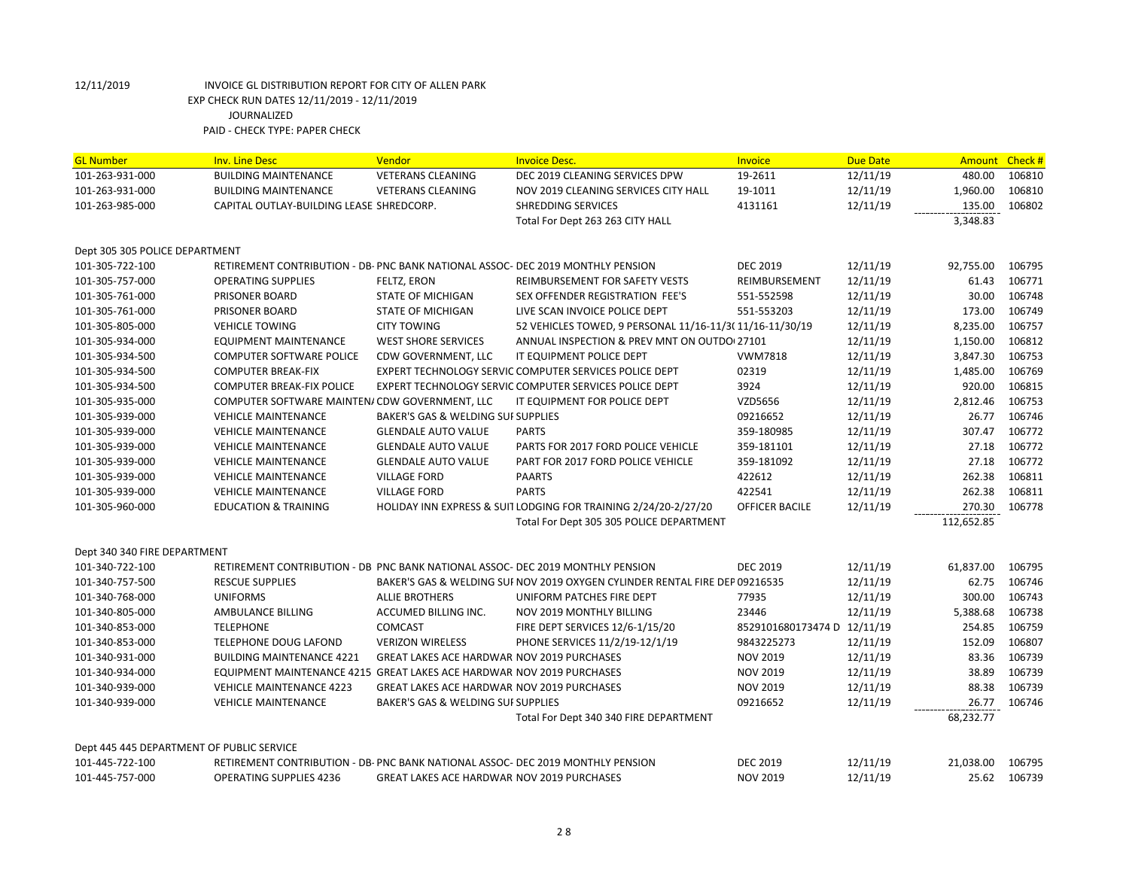| <b>GL Number</b>                          | <b>Inv. Line Desc</b>                                                           | Vendor                                            | <b>Invoice Desc.</b>                                                        | Invoice                     | <b>Due Date</b> | <b>Amount</b> | Check# |
|-------------------------------------------|---------------------------------------------------------------------------------|---------------------------------------------------|-----------------------------------------------------------------------------|-----------------------------|-----------------|---------------|--------|
| 101-263-931-000                           | <b>BUILDING MAINTENANCE</b>                                                     | <b>VETERANS CLEANING</b>                          | DEC 2019 CLEANING SERVICES DPW                                              | 19-2611                     | 12/11/19        | 480.00        | 106810 |
| 101-263-931-000                           | <b>BUILDING MAINTENANCE</b>                                                     | <b>VETERANS CLEANING</b>                          | NOV 2019 CLEANING SERVICES CITY HALL                                        | 19-1011                     | 12/11/19        | 1,960.00      | 106810 |
| 101-263-985-000                           | CAPITAL OUTLAY-BUILDING LEASE SHREDCORP.                                        |                                                   | <b>SHREDDING SERVICES</b>                                                   | 4131161                     | 12/11/19        | 135.00        | 106802 |
|                                           |                                                                                 |                                                   | Total For Dept 263 263 CITY HALL                                            |                             |                 | 3,348.83      |        |
| Dept 305 305 POLICE DEPARTMENT            |                                                                                 |                                                   |                                                                             |                             |                 |               |        |
| 101-305-722-100                           | RETIREMENT CONTRIBUTION - DB- PNC BANK NATIONAL ASSOC- DEC 2019 MONTHLY PENSION |                                                   |                                                                             | <b>DEC 2019</b>             | 12/11/19        | 92,755.00     | 106795 |
| 101-305-757-000                           | <b>OPERATING SUPPLIES</b>                                                       | FELTZ, ERON                                       | <b>REIMBURSEMENT FOR SAFETY VESTS</b>                                       | REIMBURSEMENT               | 12/11/19        | 61.43         | 106771 |
| 101-305-761-000                           | PRISONER BOARD                                                                  | STATE OF MICHIGAN                                 | SEX OFFENDER REGISTRATION FEE'S                                             | 551-552598                  | 12/11/19        | 30.00         | 106748 |
| 101-305-761-000                           | PRISONER BOARD                                                                  | <b>STATE OF MICHIGAN</b>                          | LIVE SCAN INVOICE POLICE DEPT                                               | 551-553203                  | 12/11/19        | 173.00        | 106749 |
| 101-305-805-000                           | <b>VEHICLE TOWING</b>                                                           | <b>CITY TOWING</b>                                | 52 VEHICLES TOWED, 9 PERSONAL 11/16-11/3(11/16-11/30/19                     |                             | 12/11/19        | 8,235.00      | 106757 |
| 101-305-934-000                           | <b>EQUIPMENT MAINTENANCE</b>                                                    | <b>WEST SHORE SERVICES</b>                        | ANNUAL INSPECTION & PREV MNT ON OUTDO 27101                                 |                             | 12/11/19        | 1,150.00      | 106812 |
| 101-305-934-500                           | <b>COMPUTER SOFTWARE POLICE</b>                                                 | CDW GOVERNMENT, LLC                               | IT EQUIPMENT POLICE DEPT                                                    | <b>VWM7818</b>              | 12/11/19        | 3,847.30      | 106753 |
| 101-305-934-500                           | <b>COMPUTER BREAK-FIX</b>                                                       |                                                   | EXPERT TECHNOLOGY SERVIC COMPUTER SERVICES POLICE DEPT                      | 02319                       | 12/11/19        | 1,485.00      | 106769 |
| 101-305-934-500                           | <b>COMPUTER BREAK-FIX POLICE</b>                                                |                                                   | EXPERT TECHNOLOGY SERVIC COMPUTER SERVICES POLICE DEPT                      | 3924                        | 12/11/19        | 920.00        | 106815 |
| 101-305-935-000                           | COMPUTER SOFTWARE MAINTEN/ CDW GOVERNMENT, LLC                                  |                                                   | IT EQUIPMENT FOR POLICE DEPT                                                | VZD5656                     | 12/11/19        | 2,812.46      | 106753 |
| 101-305-939-000                           | <b>VEHICLE MAINTENANCE</b>                                                      | BAKER'S GAS & WELDING SUI SUPPLIES                |                                                                             | 09216652                    | 12/11/19        | 26.77         | 106746 |
| 101-305-939-000                           | <b>VEHICLE MAINTENANCE</b>                                                      | <b>GLENDALE AUTO VALUE</b>                        | <b>PARTS</b>                                                                | 359-180985                  | 12/11/19        | 307.47        | 106772 |
| 101-305-939-000                           | <b>VEHICLE MAINTENANCE</b>                                                      | <b>GLENDALE AUTO VALUE</b>                        | PARTS FOR 2017 FORD POLICE VEHICLE                                          | 359-181101                  | 12/11/19        | 27.18         | 106772 |
| 101-305-939-000                           | <b>VEHICLE MAINTENANCE</b>                                                      | <b>GLENDALE AUTO VALUE</b>                        | PART FOR 2017 FORD POLICE VEHICLE                                           | 359-181092                  | 12/11/19        | 27.18         | 106772 |
| 101-305-939-000                           | <b>VEHICLE MAINTENANCE</b>                                                      | <b>VILLAGE FORD</b>                               | <b>PAARTS</b>                                                               | 422612                      | 12/11/19        | 262.38        | 106811 |
| 101-305-939-000                           | <b>VEHICLE MAINTENANCE</b>                                                      | <b>VILLAGE FORD</b>                               | <b>PARTS</b>                                                                | 422541                      | 12/11/19        | 262.38        | 106811 |
| 101-305-960-000                           | <b>EDUCATION &amp; TRAINING</b>                                                 |                                                   | HOLIDAY INN EXPRESS & SUIT LODGING FOR TRAINING 2/24/20-2/27/20             | OFFICER BACILE              | 12/11/19        | 270.30        | 106778 |
|                                           |                                                                                 |                                                   | Total For Dept 305 305 POLICE DEPARTMENT                                    |                             |                 | 112,652.85    |        |
| Dept 340 340 FIRE DEPARTMENT              |                                                                                 |                                                   |                                                                             |                             |                 |               |        |
| 101-340-722-100                           | RETIREMENT CONTRIBUTION - DB PNC BANK NATIONAL ASSOC- DEC 2019 MONTHLY PENSION  |                                                   |                                                                             | <b>DEC 2019</b>             | 12/11/19        | 61,837.00     | 106795 |
| 101-340-757-500                           | <b>RESCUE SUPPLIES</b>                                                          |                                                   | BAKER'S GAS & WELDING SUI NOV 2019 OXYGEN CYLINDER RENTAL FIRE DEP 09216535 |                             | 12/11/19        | 62.75         | 106746 |
| 101-340-768-000                           | <b>UNIFORMS</b>                                                                 | <b>ALLIE BROTHERS</b>                             | UNIFORM PATCHES FIRE DEPT                                                   | 77935                       | 12/11/19        | 300.00        | 106743 |
| 101-340-805-000                           | AMBULANCE BILLING                                                               | ACCUMED BILLING INC.                              | <b>NOV 2019 MONTHLY BILLING</b>                                             | 23446                       | 12/11/19        | 5,388.68      | 106738 |
| 101-340-853-000                           | <b>TELEPHONE</b>                                                                | COMCAST                                           | FIRE DEPT SERVICES 12/6-1/15/20                                             | 8529101680173474 D 12/11/19 |                 | 254.85        | 106759 |
| 101-340-853-000                           | <b>TELEPHONE DOUG LAFOND</b>                                                    | <b>VERIZON WIRELESS</b>                           | PHONE SERVICES 11/2/19-12/1/19                                              | 9843225273                  | 12/11/19        | 152.09        | 106807 |
| 101-340-931-000                           | <b>BUILDING MAINTENANCE 4221</b>                                                | <b>GREAT LAKES ACE HARDWAR NOV 2019 PURCHASES</b> |                                                                             | <b>NOV 2019</b>             | 12/11/19        | 83.36         | 106739 |
| 101-340-934-000                           | EQUIPMENT MAINTENANCE 4215 GREAT LAKES ACE HARDWAR NOV 2019 PURCHASES           |                                                   |                                                                             | <b>NOV 2019</b>             | 12/11/19        | 38.89         | 106739 |
| 101-340-939-000                           | <b>VEHICLE MAINTENANCE 4223</b>                                                 | <b>GREAT LAKES ACE HARDWAR NOV 2019 PURCHASES</b> |                                                                             | <b>NOV 2019</b>             | 12/11/19        | 88.38         | 106739 |
| 101-340-939-000                           | <b>VEHICLE MAINTENANCE</b>                                                      | BAKER'S GAS & WELDING SUI SUPPLIES                |                                                                             | 09216652                    | 12/11/19        | 26.77         | 106746 |
|                                           |                                                                                 |                                                   | Total For Dept 340 340 FIRE DEPARTMENT                                      |                             |                 | 68,232.77     |        |
| Dept 445 445 DEPARTMENT OF PUBLIC SERVICE |                                                                                 |                                                   |                                                                             |                             |                 |               |        |
| 101-445-722-100                           | RETIREMENT CONTRIBUTION - DB- PNC BANK NATIONAL ASSOC- DEC 2019 MONTHLY PENSION |                                                   |                                                                             | <b>DEC 2019</b>             | 12/11/19        | 21,038.00     | 106795 |
| 101-445-757-000                           | <b>OPERATING SUPPLIES 4236</b>                                                  | <b>GREAT LAKES ACE HARDWAR NOV 2019 PURCHASES</b> |                                                                             | <b>NOV 2019</b>             | 12/11/19        | 25.62         | 106739 |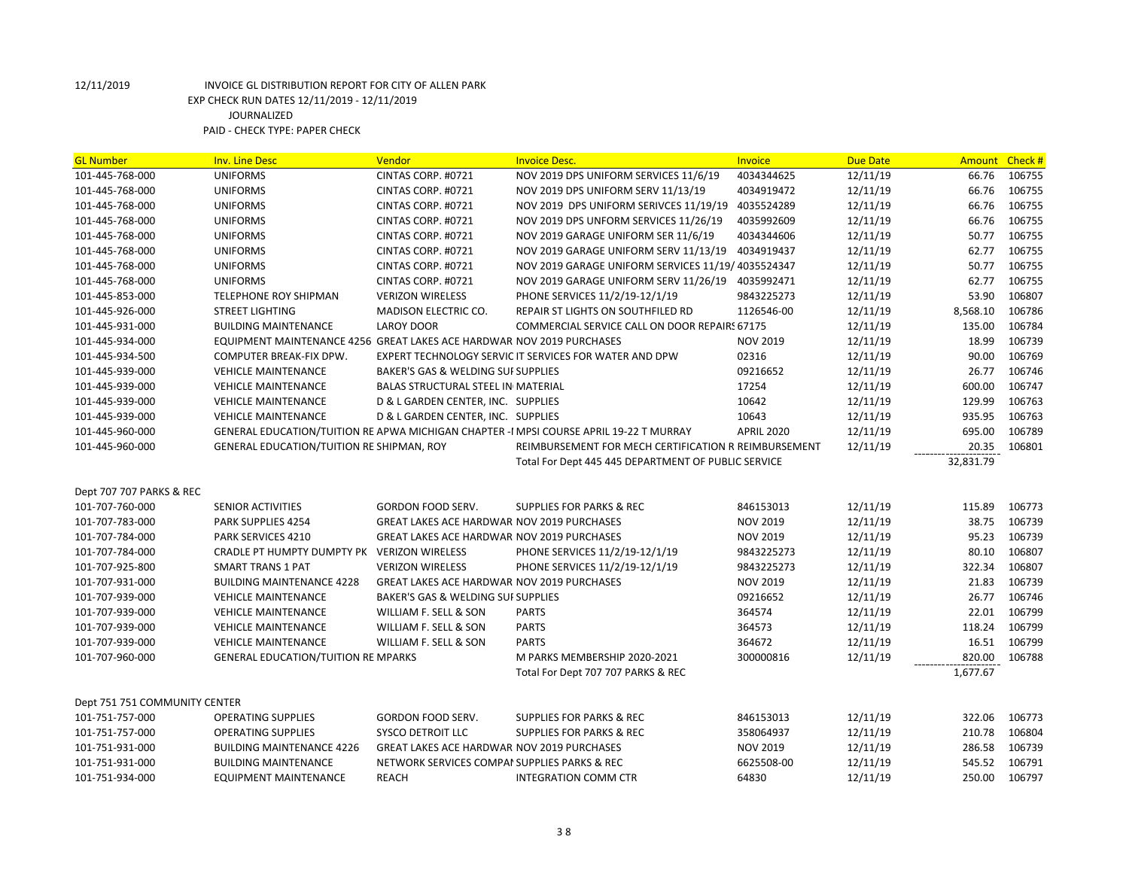| <b>GL Number</b>              | <b>Inv. Line Desc</b>                                                 | <b>Vendor</b>                                     | <b>Invoice Desc.</b>                                                                   | <b>Invoice</b>    | <b>Due Date</b> | Amount    | Check# |
|-------------------------------|-----------------------------------------------------------------------|---------------------------------------------------|----------------------------------------------------------------------------------------|-------------------|-----------------|-----------|--------|
| 101-445-768-000               | <b>UNIFORMS</b>                                                       | CINTAS CORP. #0721                                | NOV 2019 DPS UNIFORM SERVICES 11/6/19                                                  | 4034344625        | 12/11/19        | 66.76     | 106755 |
| 101-445-768-000               | <b>UNIFORMS</b>                                                       | CINTAS CORP. #0721                                | NOV 2019 DPS UNIFORM SERV 11/13/19                                                     | 4034919472        | 12/11/19        | 66.76     | 106755 |
| 101-445-768-000               | <b>UNIFORMS</b>                                                       | CINTAS CORP. #0721                                | NOV 2019 DPS UNIFORM SERIVCES 11/19/19                                                 | 4035524289        | 12/11/19        | 66.76     | 106755 |
| 101-445-768-000               | <b>UNIFORMS</b>                                                       | CINTAS CORP. #0721                                | NOV 2019 DPS UNFORM SERVICES 11/26/19                                                  | 4035992609        | 12/11/19        | 66.76     | 106755 |
| 101-445-768-000               | <b>UNIFORMS</b>                                                       | CINTAS CORP. #0721                                | NOV 2019 GARAGE UNIFORM SER 11/6/19                                                    | 4034344606        | 12/11/19        | 50.77     | 106755 |
| 101-445-768-000               | <b>UNIFORMS</b>                                                       | CINTAS CORP. #0721                                | NOV 2019 GARAGE UNIFORM SERV 11/13/19 4034919437                                       |                   | 12/11/19        | 62.77     | 106755 |
| 101-445-768-000               | <b>UNIFORMS</b>                                                       | CINTAS CORP. #0721                                | NOV 2019 GARAGE UNIFORM SERVICES 11/19/ 4035524347                                     |                   | 12/11/19        | 50.77     | 106755 |
| 101-445-768-000               | <b>UNIFORMS</b>                                                       | CINTAS CORP. #0721                                | NOV 2019 GARAGE UNIFORM SERV 11/26/19 4035992471                                       |                   | 12/11/19        | 62.77     | 106755 |
| 101-445-853-000               | TELEPHONE ROY SHIPMAN                                                 | <b>VERIZON WIRELESS</b>                           | PHONE SERVICES 11/2/19-12/1/19                                                         | 9843225273        | 12/11/19        | 53.90     | 106807 |
| 101-445-926-000               | <b>STREET LIGHTING</b>                                                | MADISON ELECTRIC CO.                              | REPAIR ST LIGHTS ON SOUTHFILED RD                                                      | 1126546-00        | 12/11/19        | 8,568.10  | 106786 |
| 101-445-931-000               | <b>BUILDING MAINTENANCE</b>                                           | <b>LAROY DOOR</b>                                 | COMMERCIAL SERVICE CALL ON DOOR REPAIRS 67175                                          |                   | 12/11/19        | 135.00    | 106784 |
| 101-445-934-000               | EQUIPMENT MAINTENANCE 4256 GREAT LAKES ACE HARDWAR NOV 2019 PURCHASES |                                                   |                                                                                        | <b>NOV 2019</b>   | 12/11/19        | 18.99     | 106739 |
| 101-445-934-500               | COMPUTER BREAK-FIX DPW.                                               |                                                   | EXPERT TECHNOLOGY SERVIC IT SERVICES FOR WATER AND DPW                                 | 02316             | 12/11/19        | 90.00     | 106769 |
| 101-445-939-000               | <b>VEHICLE MAINTENANCE</b>                                            | BAKER'S GAS & WELDING SUI SUPPLIES                |                                                                                        | 09216652          | 12/11/19        | 26.77     | 106746 |
| 101-445-939-000               | <b>VEHICLE MAINTENANCE</b>                                            | <b>BALAS STRUCTURAL STEEL IN MATERIAL</b>         |                                                                                        | 17254             | 12/11/19        | 600.00    | 106747 |
| 101-445-939-000               | <b>VEHICLE MAINTENANCE</b>                                            | D & L GARDEN CENTER, INC. SUPPLIES                |                                                                                        | 10642             | 12/11/19        | 129.99    | 106763 |
| 101-445-939-000               | <b>VEHICLE MAINTENANCE</b>                                            | D & L GARDEN CENTER, INC. SUPPLIES                |                                                                                        | 10643             | 12/11/19        | 935.95    | 106763 |
| 101-445-960-000               |                                                                       |                                                   | GENERAL EDUCATION/TUITION RE APWA MICHIGAN CHAPTER -I MPSI COURSE APRIL 19-22 T MURRAY | <b>APRIL 2020</b> | 12/11/19        | 695.00    | 106789 |
| 101-445-960-000               | GENERAL EDUCATION/TUITION RE SHIPMAN, ROY                             |                                                   | REIMBURSEMENT FOR MECH CERTIFICATION R REIMBURSEMENT                                   |                   | 12/11/19        | 20.35     | 106801 |
|                               |                                                                       |                                                   | Total For Dept 445 445 DEPARTMENT OF PUBLIC SERVICE                                    |                   |                 | 32,831.79 |        |
|                               |                                                                       |                                                   |                                                                                        |                   |                 |           |        |
| Dept 707 707 PARKS & REC      |                                                                       |                                                   |                                                                                        |                   |                 |           |        |
| 101-707-760-000               | <b>SENIOR ACTIVITIES</b>                                              | GORDON FOOD SERV.                                 | <b>SUPPLIES FOR PARKS &amp; REC</b>                                                    | 846153013         | 12/11/19        | 115.89    | 106773 |
| 101-707-783-000               | PARK SUPPLIES 4254                                                    | <b>GREAT LAKES ACE HARDWAR NOV 2019 PURCHASES</b> |                                                                                        | <b>NOV 2019</b>   | 12/11/19        | 38.75     | 106739 |
| 101-707-784-000               | PARK SERVICES 4210                                                    | GREAT LAKES ACE HARDWAR NOV 2019 PURCHASES        |                                                                                        | <b>NOV 2019</b>   | 12/11/19        | 95.23     | 106739 |
| 101-707-784-000               | CRADLE PT HUMPTY DUMPTY PK VERIZON WIRELESS                           |                                                   | PHONE SERVICES 11/2/19-12/1/19                                                         | 9843225273        | 12/11/19        | 80.10     | 106807 |
| 101-707-925-800               | <b>SMART TRANS 1 PAT</b>                                              | <b>VERIZON WIRELESS</b>                           | PHONE SERVICES 11/2/19-12/1/19                                                         | 9843225273        | 12/11/19        | 322.34    | 106807 |
| 101-707-931-000               | <b>BUILDING MAINTENANCE 4228</b>                                      | <b>GREAT LAKES ACE HARDWAR NOV 2019 PURCHASES</b> |                                                                                        | <b>NOV 2019</b>   | 12/11/19        | 21.83     | 106739 |
| 101-707-939-000               | <b>VEHICLE MAINTENANCE</b>                                            | BAKER'S GAS & WELDING SUI SUPPLIES                |                                                                                        | 09216652          | 12/11/19        | 26.77     | 106746 |
| 101-707-939-000               | <b>VEHICLE MAINTENANCE</b>                                            | WILLIAM F. SELL & SON                             | <b>PARTS</b>                                                                           | 364574            | 12/11/19        | 22.01     | 106799 |
| 101-707-939-000               | <b>VEHICLE MAINTENANCE</b>                                            | WILLIAM F. SELL & SON                             | <b>PARTS</b>                                                                           | 364573            | 12/11/19        | 118.24    | 106799 |
| 101-707-939-000               | <b>VEHICLE MAINTENANCE</b>                                            | WILLIAM F. SELL & SON                             | <b>PARTS</b>                                                                           | 364672            | 12/11/19        | 16.51     | 106799 |
| 101-707-960-000               | <b>GENERAL EDUCATION/TUITION RE MPARKS</b>                            |                                                   | M PARKS MEMBERSHIP 2020-2021                                                           | 300000816         | 12/11/19        | 820.00    | 106788 |
|                               |                                                                       |                                                   | Total For Dept 707 707 PARKS & REC                                                     |                   |                 | 1,677.67  |        |
|                               |                                                                       |                                                   |                                                                                        |                   |                 |           |        |
| Dept 751 751 COMMUNITY CENTER |                                                                       |                                                   |                                                                                        |                   |                 |           |        |
| 101-751-757-000               | <b>OPERATING SUPPLIES</b>                                             | <b>GORDON FOOD SERV.</b>                          | <b>SUPPLIES FOR PARKS &amp; REC</b>                                                    | 846153013         | 12/11/19        | 322.06    | 106773 |
| 101-751-757-000               | <b>OPERATING SUPPLIES</b>                                             | SYSCO DETROIT LLC                                 | <b>SUPPLIES FOR PARKS &amp; REC</b>                                                    | 358064937         | 12/11/19        | 210.78    | 106804 |
| 101-751-931-000               | <b>BUILDING MAINTENANCE 4226</b>                                      | <b>GREAT LAKES ACE HARDWAR NOV 2019 PURCHASES</b> |                                                                                        | <b>NOV 2019</b>   | 12/11/19        | 286.58    | 106739 |
| 101-751-931-000               | <b>BUILDING MAINTENANCE</b>                                           | NETWORK SERVICES COMPAI SUPPLIES PARKS & REC      |                                                                                        | 6625508-00        | 12/11/19        | 545.52    | 106791 |
| 101-751-934-000               | <b>EQUIPMENT MAINTENANCE</b>                                          | <b>REACH</b>                                      | <b>INTEGRATION COMM CTR</b>                                                            | 64830             | 12/11/19        | 250.00    | 106797 |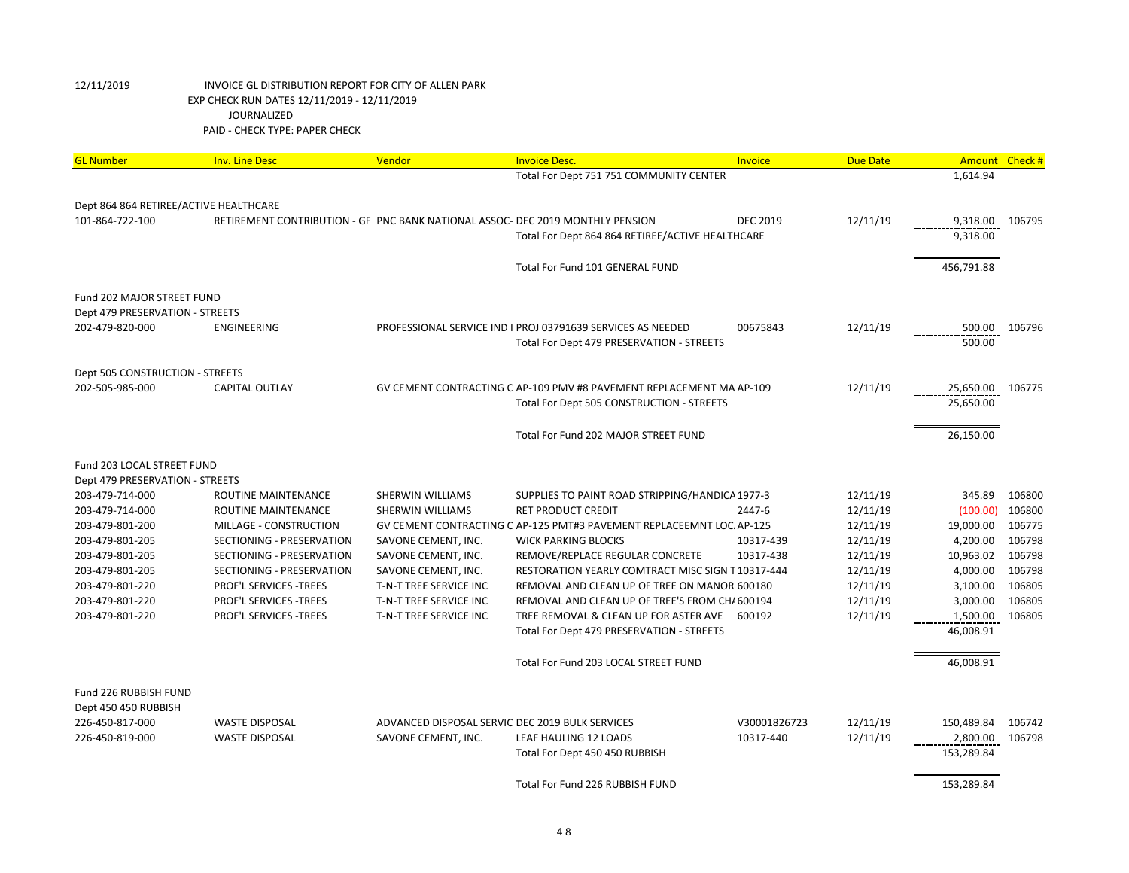| Total For Dept 751 751 COMMUNITY CENTER<br>1,614.94<br>Dept 864 864 RETIREE/ACTIVE HEALTHCARE<br>12/11/19<br>101-864-722-100<br>RETIREMENT CONTRIBUTION - GF PNC BANK NATIONAL ASSOC- DEC 2019 MONTHLY PENSION<br><b>DEC 2019</b><br>9,318.00<br>106795<br>9,318.00<br>Total For Dept 864 864 RETIREE/ACTIVE HEALTHCARE<br>Total For Fund 101 GENERAL FUND<br>456,791.88<br>Fund 202 MAJOR STREET FUND<br>Dept 479 PRESERVATION - STREETS<br>12/11/19<br>202-479-820-000<br>ENGINEERING<br>PROFESSIONAL SERVICE IND I PROJ 03791639 SERVICES AS NEEDED<br>00675843<br>500.00<br>106796<br>500.00<br>Total For Dept 479 PRESERVATION - STREETS<br>Dept 505 CONSTRUCTION - STREETS<br>12/11/19<br>202-505-985-000<br><b>CAPITAL OUTLAY</b><br>GV CEMENT CONTRACTING C AP-109 PMV #8 PAVEMENT REPLACEMENT MA AP-109<br>25,650.00<br>106775<br>Total For Dept 505 CONSTRUCTION - STREETS<br>25,650.00<br>Total For Fund 202 MAJOR STREET FUND<br>26,150.00<br>Fund 203 LOCAL STREET FUND<br>Dept 479 PRESERVATION - STREETS<br>203-479-714-000<br>ROUTINE MAINTENANCE<br>SHERWIN WILLIAMS<br>SUPPLIES TO PAINT ROAD STRIPPING/HANDICA 1977-3<br>12/11/19<br>345.89<br>106800<br>12/11/19<br>(100.00)<br>106800<br>203-479-714-000<br>ROUTINE MAINTENANCE<br>SHERWIN WILLIAMS<br><b>RET PRODUCT CREDIT</b><br>2447-6<br>19,000.00<br>106775<br>203-479-801-200<br>MILLAGE - CONSTRUCTION<br>GV CEMENT CONTRACTING C AP-125 PMT#3 PAVEMENT REPLACEEMNT LOC. AP-125<br>12/11/19<br>106798<br>12/11/19<br>4,200.00<br>203-479-801-205<br>SECTIONING - PRESERVATION<br>SAVONE CEMENT, INC.<br><b>WICK PARKING BLOCKS</b><br>10317-439<br>10,963.02<br>106798<br>203-479-801-205<br>SECTIONING - PRESERVATION<br>SAVONE CEMENT, INC.<br>REMOVE/REPLACE REGULAR CONCRETE<br>10317-438<br>12/11/19<br>12/11/19<br>4,000.00<br>106798<br>203-479-801-205<br>SECTIONING - PRESERVATION<br>SAVONE CEMENT, INC.<br>RESTORATION YEARLY COMTRACT MISC SIGN T 10317-444<br>203-479-801-220<br><b>PROF'L SERVICES -TREES</b><br>T-N-T TREE SERVICE INC<br>REMOVAL AND CLEAN UP OF TREE ON MANOR 600180<br>12/11/19<br>3,100.00<br>106805<br>3,000.00<br>106805<br>203-479-801-220<br><b>PROF'L SERVICES -TREES</b><br>T-N-T TREE SERVICE INC<br>REMOVAL AND CLEAN UP OF TREE'S FROM CH/ 600194<br>12/11/19<br><b>PROF'L SERVICES -TREES</b><br>T-N-T TREE SERVICE INC<br>TREE REMOVAL & CLEAN UP FOR ASTER AVE<br>12/11/19<br>1,500.00<br>106805<br>203-479-801-220<br>600192<br>46,008.91<br>Total For Dept 479 PRESERVATION - STREETS<br>Total For Fund 203 LOCAL STREET FUND<br>46,008.91<br>Fund 226 RUBBISH FUND<br>Dept 450 450 RUBBISH<br>226-450-817-000<br><b>WASTE DISPOSAL</b><br>ADVANCED DISPOSAL SERVIC DEC 2019 BULK SERVICES<br>V30001826723<br>12/11/19<br>150,489.84<br>106742<br>226-450-819-000<br><b>WASTE DISPOSAL</b><br>LEAF HAULING 12 LOADS<br>10317-440<br>12/11/19<br>2,800.00<br>106798<br>SAVONE CEMENT, INC. | <b>GL Number</b> | <b>Inv. Line Desc</b> | Vendor | <b>Invoice Desc.</b> | Invoice | <b>Due Date</b> | Amount | Check# |
|-------------------------------------------------------------------------------------------------------------------------------------------------------------------------------------------------------------------------------------------------------------------------------------------------------------------------------------------------------------------------------------------------------------------------------------------------------------------------------------------------------------------------------------------------------------------------------------------------------------------------------------------------------------------------------------------------------------------------------------------------------------------------------------------------------------------------------------------------------------------------------------------------------------------------------------------------------------------------------------------------------------------------------------------------------------------------------------------------------------------------------------------------------------------------------------------------------------------------------------------------------------------------------------------------------------------------------------------------------------------------------------------------------------------------------------------------------------------------------------------------------------------------------------------------------------------------------------------------------------------------------------------------------------------------------------------------------------------------------------------------------------------------------------------------------------------------------------------------------------------------------------------------------------------------------------------------------------------------------------------------------------------------------------------------------------------------------------------------------------------------------------------------------------------------------------------------------------------------------------------------------------------------------------------------------------------------------------------------------------------------------------------------------------------------------------------------------------------------------------------------------------------------------------------------------------------------------------------------------------------------------------------------------------------------------------------------------------------------------------------------------------------------------------------------------------------------------------------------------------------------------------------------------------------------|------------------|-----------------------|--------|----------------------|---------|-----------------|--------|--------|
|                                                                                                                                                                                                                                                                                                                                                                                                                                                                                                                                                                                                                                                                                                                                                                                                                                                                                                                                                                                                                                                                                                                                                                                                                                                                                                                                                                                                                                                                                                                                                                                                                                                                                                                                                                                                                                                                                                                                                                                                                                                                                                                                                                                                                                                                                                                                                                                                                                                                                                                                                                                                                                                                                                                                                                                                                                                                                                                         |                  |                       |        |                      |         |                 |        |        |
|                                                                                                                                                                                                                                                                                                                                                                                                                                                                                                                                                                                                                                                                                                                                                                                                                                                                                                                                                                                                                                                                                                                                                                                                                                                                                                                                                                                                                                                                                                                                                                                                                                                                                                                                                                                                                                                                                                                                                                                                                                                                                                                                                                                                                                                                                                                                                                                                                                                                                                                                                                                                                                                                                                                                                                                                                                                                                                                         |                  |                       |        |                      |         |                 |        |        |
|                                                                                                                                                                                                                                                                                                                                                                                                                                                                                                                                                                                                                                                                                                                                                                                                                                                                                                                                                                                                                                                                                                                                                                                                                                                                                                                                                                                                                                                                                                                                                                                                                                                                                                                                                                                                                                                                                                                                                                                                                                                                                                                                                                                                                                                                                                                                                                                                                                                                                                                                                                                                                                                                                                                                                                                                                                                                                                                         |                  |                       |        |                      |         |                 |        |        |
|                                                                                                                                                                                                                                                                                                                                                                                                                                                                                                                                                                                                                                                                                                                                                                                                                                                                                                                                                                                                                                                                                                                                                                                                                                                                                                                                                                                                                                                                                                                                                                                                                                                                                                                                                                                                                                                                                                                                                                                                                                                                                                                                                                                                                                                                                                                                                                                                                                                                                                                                                                                                                                                                                                                                                                                                                                                                                                                         |                  |                       |        |                      |         |                 |        |        |
|                                                                                                                                                                                                                                                                                                                                                                                                                                                                                                                                                                                                                                                                                                                                                                                                                                                                                                                                                                                                                                                                                                                                                                                                                                                                                                                                                                                                                                                                                                                                                                                                                                                                                                                                                                                                                                                                                                                                                                                                                                                                                                                                                                                                                                                                                                                                                                                                                                                                                                                                                                                                                                                                                                                                                                                                                                                                                                                         |                  |                       |        |                      |         |                 |        |        |
|                                                                                                                                                                                                                                                                                                                                                                                                                                                                                                                                                                                                                                                                                                                                                                                                                                                                                                                                                                                                                                                                                                                                                                                                                                                                                                                                                                                                                                                                                                                                                                                                                                                                                                                                                                                                                                                                                                                                                                                                                                                                                                                                                                                                                                                                                                                                                                                                                                                                                                                                                                                                                                                                                                                                                                                                                                                                                                                         |                  |                       |        |                      |         |                 |        |        |
|                                                                                                                                                                                                                                                                                                                                                                                                                                                                                                                                                                                                                                                                                                                                                                                                                                                                                                                                                                                                                                                                                                                                                                                                                                                                                                                                                                                                                                                                                                                                                                                                                                                                                                                                                                                                                                                                                                                                                                                                                                                                                                                                                                                                                                                                                                                                                                                                                                                                                                                                                                                                                                                                                                                                                                                                                                                                                                                         |                  |                       |        |                      |         |                 |        |        |
|                                                                                                                                                                                                                                                                                                                                                                                                                                                                                                                                                                                                                                                                                                                                                                                                                                                                                                                                                                                                                                                                                                                                                                                                                                                                                                                                                                                                                                                                                                                                                                                                                                                                                                                                                                                                                                                                                                                                                                                                                                                                                                                                                                                                                                                                                                                                                                                                                                                                                                                                                                                                                                                                                                                                                                                                                                                                                                                         |                  |                       |        |                      |         |                 |        |        |
|                                                                                                                                                                                                                                                                                                                                                                                                                                                                                                                                                                                                                                                                                                                                                                                                                                                                                                                                                                                                                                                                                                                                                                                                                                                                                                                                                                                                                                                                                                                                                                                                                                                                                                                                                                                                                                                                                                                                                                                                                                                                                                                                                                                                                                                                                                                                                                                                                                                                                                                                                                                                                                                                                                                                                                                                                                                                                                                         |                  |                       |        |                      |         |                 |        |        |
|                                                                                                                                                                                                                                                                                                                                                                                                                                                                                                                                                                                                                                                                                                                                                                                                                                                                                                                                                                                                                                                                                                                                                                                                                                                                                                                                                                                                                                                                                                                                                                                                                                                                                                                                                                                                                                                                                                                                                                                                                                                                                                                                                                                                                                                                                                                                                                                                                                                                                                                                                                                                                                                                                                                                                                                                                                                                                                                         |                  |                       |        |                      |         |                 |        |        |
|                                                                                                                                                                                                                                                                                                                                                                                                                                                                                                                                                                                                                                                                                                                                                                                                                                                                                                                                                                                                                                                                                                                                                                                                                                                                                                                                                                                                                                                                                                                                                                                                                                                                                                                                                                                                                                                                                                                                                                                                                                                                                                                                                                                                                                                                                                                                                                                                                                                                                                                                                                                                                                                                                                                                                                                                                                                                                                                         |                  |                       |        |                      |         |                 |        |        |
|                                                                                                                                                                                                                                                                                                                                                                                                                                                                                                                                                                                                                                                                                                                                                                                                                                                                                                                                                                                                                                                                                                                                                                                                                                                                                                                                                                                                                                                                                                                                                                                                                                                                                                                                                                                                                                                                                                                                                                                                                                                                                                                                                                                                                                                                                                                                                                                                                                                                                                                                                                                                                                                                                                                                                                                                                                                                                                                         |                  |                       |        |                      |         |                 |        |        |
|                                                                                                                                                                                                                                                                                                                                                                                                                                                                                                                                                                                                                                                                                                                                                                                                                                                                                                                                                                                                                                                                                                                                                                                                                                                                                                                                                                                                                                                                                                                                                                                                                                                                                                                                                                                                                                                                                                                                                                                                                                                                                                                                                                                                                                                                                                                                                                                                                                                                                                                                                                                                                                                                                                                                                                                                                                                                                                                         |                  |                       |        |                      |         |                 |        |        |
|                                                                                                                                                                                                                                                                                                                                                                                                                                                                                                                                                                                                                                                                                                                                                                                                                                                                                                                                                                                                                                                                                                                                                                                                                                                                                                                                                                                                                                                                                                                                                                                                                                                                                                                                                                                                                                                                                                                                                                                                                                                                                                                                                                                                                                                                                                                                                                                                                                                                                                                                                                                                                                                                                                                                                                                                                                                                                                                         |                  |                       |        |                      |         |                 |        |        |
|                                                                                                                                                                                                                                                                                                                                                                                                                                                                                                                                                                                                                                                                                                                                                                                                                                                                                                                                                                                                                                                                                                                                                                                                                                                                                                                                                                                                                                                                                                                                                                                                                                                                                                                                                                                                                                                                                                                                                                                                                                                                                                                                                                                                                                                                                                                                                                                                                                                                                                                                                                                                                                                                                                                                                                                                                                                                                                                         |                  |                       |        |                      |         |                 |        |        |
|                                                                                                                                                                                                                                                                                                                                                                                                                                                                                                                                                                                                                                                                                                                                                                                                                                                                                                                                                                                                                                                                                                                                                                                                                                                                                                                                                                                                                                                                                                                                                                                                                                                                                                                                                                                                                                                                                                                                                                                                                                                                                                                                                                                                                                                                                                                                                                                                                                                                                                                                                                                                                                                                                                                                                                                                                                                                                                                         |                  |                       |        |                      |         |                 |        |        |
|                                                                                                                                                                                                                                                                                                                                                                                                                                                                                                                                                                                                                                                                                                                                                                                                                                                                                                                                                                                                                                                                                                                                                                                                                                                                                                                                                                                                                                                                                                                                                                                                                                                                                                                                                                                                                                                                                                                                                                                                                                                                                                                                                                                                                                                                                                                                                                                                                                                                                                                                                                                                                                                                                                                                                                                                                                                                                                                         |                  |                       |        |                      |         |                 |        |        |
|                                                                                                                                                                                                                                                                                                                                                                                                                                                                                                                                                                                                                                                                                                                                                                                                                                                                                                                                                                                                                                                                                                                                                                                                                                                                                                                                                                                                                                                                                                                                                                                                                                                                                                                                                                                                                                                                                                                                                                                                                                                                                                                                                                                                                                                                                                                                                                                                                                                                                                                                                                                                                                                                                                                                                                                                                                                                                                                         |                  |                       |        |                      |         |                 |        |        |
|                                                                                                                                                                                                                                                                                                                                                                                                                                                                                                                                                                                                                                                                                                                                                                                                                                                                                                                                                                                                                                                                                                                                                                                                                                                                                                                                                                                                                                                                                                                                                                                                                                                                                                                                                                                                                                                                                                                                                                                                                                                                                                                                                                                                                                                                                                                                                                                                                                                                                                                                                                                                                                                                                                                                                                                                                                                                                                                         |                  |                       |        |                      |         |                 |        |        |
|                                                                                                                                                                                                                                                                                                                                                                                                                                                                                                                                                                                                                                                                                                                                                                                                                                                                                                                                                                                                                                                                                                                                                                                                                                                                                                                                                                                                                                                                                                                                                                                                                                                                                                                                                                                                                                                                                                                                                                                                                                                                                                                                                                                                                                                                                                                                                                                                                                                                                                                                                                                                                                                                                                                                                                                                                                                                                                                         |                  |                       |        |                      |         |                 |        |        |
|                                                                                                                                                                                                                                                                                                                                                                                                                                                                                                                                                                                                                                                                                                                                                                                                                                                                                                                                                                                                                                                                                                                                                                                                                                                                                                                                                                                                                                                                                                                                                                                                                                                                                                                                                                                                                                                                                                                                                                                                                                                                                                                                                                                                                                                                                                                                                                                                                                                                                                                                                                                                                                                                                                                                                                                                                                                                                                                         |                  |                       |        |                      |         |                 |        |        |
|                                                                                                                                                                                                                                                                                                                                                                                                                                                                                                                                                                                                                                                                                                                                                                                                                                                                                                                                                                                                                                                                                                                                                                                                                                                                                                                                                                                                                                                                                                                                                                                                                                                                                                                                                                                                                                                                                                                                                                                                                                                                                                                                                                                                                                                                                                                                                                                                                                                                                                                                                                                                                                                                                                                                                                                                                                                                                                                         |                  |                       |        |                      |         |                 |        |        |
|                                                                                                                                                                                                                                                                                                                                                                                                                                                                                                                                                                                                                                                                                                                                                                                                                                                                                                                                                                                                                                                                                                                                                                                                                                                                                                                                                                                                                                                                                                                                                                                                                                                                                                                                                                                                                                                                                                                                                                                                                                                                                                                                                                                                                                                                                                                                                                                                                                                                                                                                                                                                                                                                                                                                                                                                                                                                                                                         |                  |                       |        |                      |         |                 |        |        |
|                                                                                                                                                                                                                                                                                                                                                                                                                                                                                                                                                                                                                                                                                                                                                                                                                                                                                                                                                                                                                                                                                                                                                                                                                                                                                                                                                                                                                                                                                                                                                                                                                                                                                                                                                                                                                                                                                                                                                                                                                                                                                                                                                                                                                                                                                                                                                                                                                                                                                                                                                                                                                                                                                                                                                                                                                                                                                                                         |                  |                       |        |                      |         |                 |        |        |
|                                                                                                                                                                                                                                                                                                                                                                                                                                                                                                                                                                                                                                                                                                                                                                                                                                                                                                                                                                                                                                                                                                                                                                                                                                                                                                                                                                                                                                                                                                                                                                                                                                                                                                                                                                                                                                                                                                                                                                                                                                                                                                                                                                                                                                                                                                                                                                                                                                                                                                                                                                                                                                                                                                                                                                                                                                                                                                                         |                  |                       |        |                      |         |                 |        |        |
|                                                                                                                                                                                                                                                                                                                                                                                                                                                                                                                                                                                                                                                                                                                                                                                                                                                                                                                                                                                                                                                                                                                                                                                                                                                                                                                                                                                                                                                                                                                                                                                                                                                                                                                                                                                                                                                                                                                                                                                                                                                                                                                                                                                                                                                                                                                                                                                                                                                                                                                                                                                                                                                                                                                                                                                                                                                                                                                         |                  |                       |        |                      |         |                 |        |        |
|                                                                                                                                                                                                                                                                                                                                                                                                                                                                                                                                                                                                                                                                                                                                                                                                                                                                                                                                                                                                                                                                                                                                                                                                                                                                                                                                                                                                                                                                                                                                                                                                                                                                                                                                                                                                                                                                                                                                                                                                                                                                                                                                                                                                                                                                                                                                                                                                                                                                                                                                                                                                                                                                                                                                                                                                                                                                                                                         |                  |                       |        |                      |         |                 |        |        |
|                                                                                                                                                                                                                                                                                                                                                                                                                                                                                                                                                                                                                                                                                                                                                                                                                                                                                                                                                                                                                                                                                                                                                                                                                                                                                                                                                                                                                                                                                                                                                                                                                                                                                                                                                                                                                                                                                                                                                                                                                                                                                                                                                                                                                                                                                                                                                                                                                                                                                                                                                                                                                                                                                                                                                                                                                                                                                                                         |                  |                       |        |                      |         |                 |        |        |
|                                                                                                                                                                                                                                                                                                                                                                                                                                                                                                                                                                                                                                                                                                                                                                                                                                                                                                                                                                                                                                                                                                                                                                                                                                                                                                                                                                                                                                                                                                                                                                                                                                                                                                                                                                                                                                                                                                                                                                                                                                                                                                                                                                                                                                                                                                                                                                                                                                                                                                                                                                                                                                                                                                                                                                                                                                                                                                                         |                  |                       |        |                      |         |                 |        |        |
|                                                                                                                                                                                                                                                                                                                                                                                                                                                                                                                                                                                                                                                                                                                                                                                                                                                                                                                                                                                                                                                                                                                                                                                                                                                                                                                                                                                                                                                                                                                                                                                                                                                                                                                                                                                                                                                                                                                                                                                                                                                                                                                                                                                                                                                                                                                                                                                                                                                                                                                                                                                                                                                                                                                                                                                                                                                                                                                         |                  |                       |        |                      |         |                 |        |        |
|                                                                                                                                                                                                                                                                                                                                                                                                                                                                                                                                                                                                                                                                                                                                                                                                                                                                                                                                                                                                                                                                                                                                                                                                                                                                                                                                                                                                                                                                                                                                                                                                                                                                                                                                                                                                                                                                                                                                                                                                                                                                                                                                                                                                                                                                                                                                                                                                                                                                                                                                                                                                                                                                                                                                                                                                                                                                                                                         |                  |                       |        |                      |         |                 |        |        |
|                                                                                                                                                                                                                                                                                                                                                                                                                                                                                                                                                                                                                                                                                                                                                                                                                                                                                                                                                                                                                                                                                                                                                                                                                                                                                                                                                                                                                                                                                                                                                                                                                                                                                                                                                                                                                                                                                                                                                                                                                                                                                                                                                                                                                                                                                                                                                                                                                                                                                                                                                                                                                                                                                                                                                                                                                                                                                                                         |                  |                       |        |                      |         |                 |        |        |
|                                                                                                                                                                                                                                                                                                                                                                                                                                                                                                                                                                                                                                                                                                                                                                                                                                                                                                                                                                                                                                                                                                                                                                                                                                                                                                                                                                                                                                                                                                                                                                                                                                                                                                                                                                                                                                                                                                                                                                                                                                                                                                                                                                                                                                                                                                                                                                                                                                                                                                                                                                                                                                                                                                                                                                                                                                                                                                                         |                  |                       |        |                      |         |                 |        |        |
|                                                                                                                                                                                                                                                                                                                                                                                                                                                                                                                                                                                                                                                                                                                                                                                                                                                                                                                                                                                                                                                                                                                                                                                                                                                                                                                                                                                                                                                                                                                                                                                                                                                                                                                                                                                                                                                                                                                                                                                                                                                                                                                                                                                                                                                                                                                                                                                                                                                                                                                                                                                                                                                                                                                                                                                                                                                                                                                         |                  |                       |        |                      |         |                 |        |        |
|                                                                                                                                                                                                                                                                                                                                                                                                                                                                                                                                                                                                                                                                                                                                                                                                                                                                                                                                                                                                                                                                                                                                                                                                                                                                                                                                                                                                                                                                                                                                                                                                                                                                                                                                                                                                                                                                                                                                                                                                                                                                                                                                                                                                                                                                                                                                                                                                                                                                                                                                                                                                                                                                                                                                                                                                                                                                                                                         |                  |                       |        |                      |         |                 |        |        |
| Total For Dept 450 450 RUBBISH<br>153,289.84                                                                                                                                                                                                                                                                                                                                                                                                                                                                                                                                                                                                                                                                                                                                                                                                                                                                                                                                                                                                                                                                                                                                                                                                                                                                                                                                                                                                                                                                                                                                                                                                                                                                                                                                                                                                                                                                                                                                                                                                                                                                                                                                                                                                                                                                                                                                                                                                                                                                                                                                                                                                                                                                                                                                                                                                                                                                            |                  |                       |        |                      |         |                 |        |        |
| 153.289.84<br>Total For Fund 226 RUBBISH FUND                                                                                                                                                                                                                                                                                                                                                                                                                                                                                                                                                                                                                                                                                                                                                                                                                                                                                                                                                                                                                                                                                                                                                                                                                                                                                                                                                                                                                                                                                                                                                                                                                                                                                                                                                                                                                                                                                                                                                                                                                                                                                                                                                                                                                                                                                                                                                                                                                                                                                                                                                                                                                                                                                                                                                                                                                                                                           |                  |                       |        |                      |         |                 |        |        |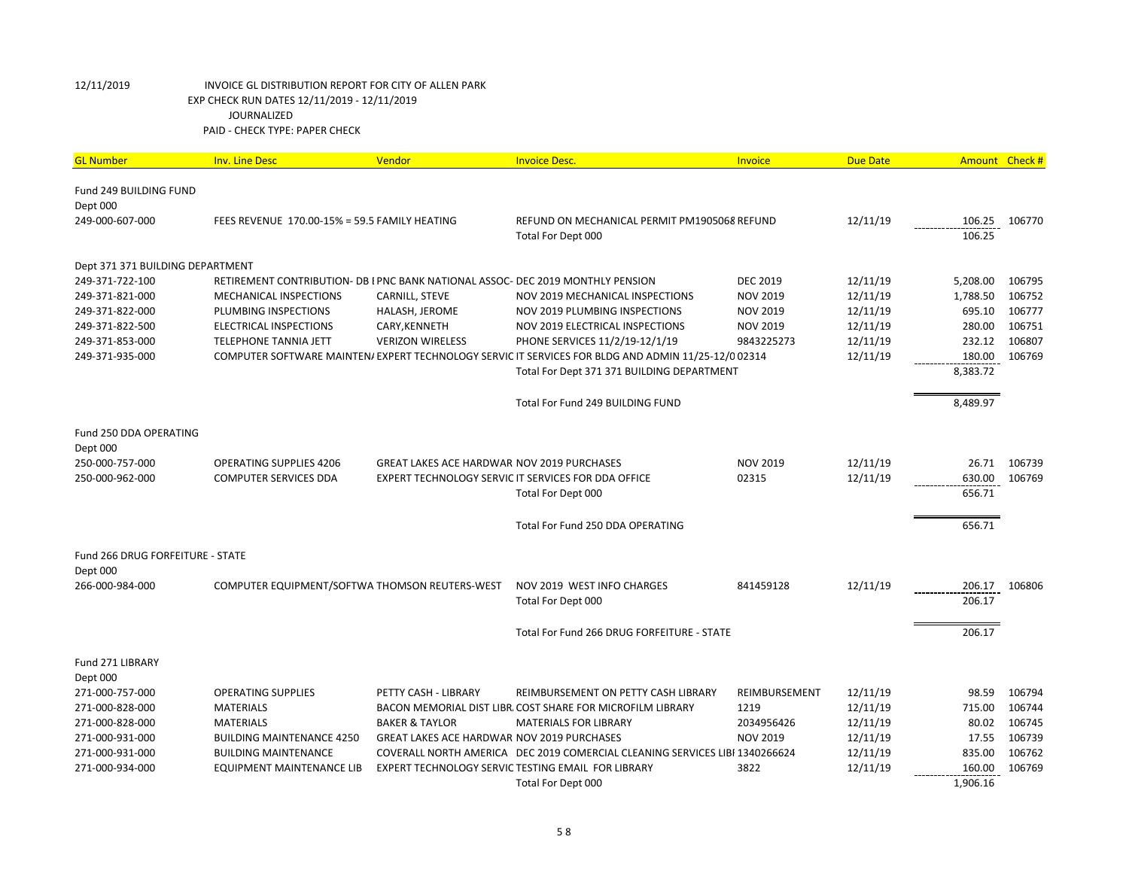| <b>GL Number</b>                   | <b>Inv. Line Desc</b>                                                           | Vendor                                     | <b>Invoice Desc.</b>                                                                                | Invoice         | <b>Due Date</b> | <b>Amount</b> | Check# |
|------------------------------------|---------------------------------------------------------------------------------|--------------------------------------------|-----------------------------------------------------------------------------------------------------|-----------------|-----------------|---------------|--------|
| Fund 249 BUILDING FUND             |                                                                                 |                                            |                                                                                                     |                 |                 |               |        |
| Dept 000                           |                                                                                 |                                            |                                                                                                     |                 |                 |               |        |
| 249-000-607-000                    | FEES REVENUE 170.00-15% = 59.5 FAMILY HEATING                                   |                                            | REFUND ON MECHANICAL PERMIT PM1905068 REFUND                                                        |                 | 12/11/19        | 106.25        | 106770 |
|                                    |                                                                                 |                                            | Total For Dept 000                                                                                  |                 |                 | 106.25        |        |
| Dept 371 371 BUILDING DEPARTMENT   |                                                                                 |                                            |                                                                                                     |                 |                 |               |        |
| 249-371-722-100                    | RETIREMENT CONTRIBUTION- DB I PNC BANK NATIONAL ASSOC- DEC 2019 MONTHLY PENSION |                                            |                                                                                                     | <b>DEC 2019</b> | 12/11/19        | 5,208.00      | 106795 |
| 249-371-821-000                    | MECHANICAL INSPECTIONS                                                          | CARNILL, STEVE                             | NOV 2019 MECHANICAL INSPECTIONS                                                                     | <b>NOV 2019</b> | 12/11/19        | 1,788.50      | 106752 |
| 249-371-822-000                    | PLUMBING INSPECTIONS                                                            | HALASH, JEROME                             | NOV 2019 PLUMBING INSPECTIONS                                                                       | <b>NOV 2019</b> | 12/11/19        | 695.10        | 106777 |
| 249-371-822-500                    | <b>ELECTRICAL INSPECTIONS</b>                                                   | CARY, KENNETH                              | NOV 2019 ELECTRICAL INSPECTIONS                                                                     | <b>NOV 2019</b> | 12/11/19        | 280.00        | 106751 |
| 249-371-853-000                    | <b>TELEPHONE TANNIA JETT</b>                                                    | <b>VERIZON WIRELESS</b>                    | PHONE SERVICES 11/2/19-12/1/19                                                                      | 9843225273      | 12/11/19        | 232.12        | 106807 |
| 249-371-935-000                    |                                                                                 |                                            | COMPUTER SOFTWARE MAINTEN/ EXPERT TECHNOLOGY SERVIC IT SERVICES FOR BLDG AND ADMIN 11/25-12/0 02314 |                 | 12/11/19        | 180.00        | 106769 |
|                                    |                                                                                 |                                            | Total For Dept 371 371 BUILDING DEPARTMENT                                                          |                 |                 | 8,383.72      |        |
|                                    |                                                                                 |                                            | Total For Fund 249 BUILDING FUND                                                                    |                 |                 | 8,489.97      |        |
| Fund 250 DDA OPERATING<br>Dept 000 |                                                                                 |                                            |                                                                                                     |                 |                 |               |        |
| 250-000-757-000                    | <b>OPERATING SUPPLIES 4206</b>                                                  | GREAT LAKES ACE HARDWAR NOV 2019 PURCHASES |                                                                                                     | <b>NOV 2019</b> | 12/11/19        | 26.71         | 106739 |
| 250-000-962-000                    | <b>COMPUTER SERVICES DDA</b>                                                    |                                            | EXPERT TECHNOLOGY SERVIC IT SERVICES FOR DDA OFFICE                                                 | 02315           | 12/11/19        | 630.00        | 106769 |
|                                    |                                                                                 |                                            | Total For Dept 000                                                                                  |                 |                 | 656.71        |        |
|                                    |                                                                                 |                                            | Total For Fund 250 DDA OPERATING                                                                    |                 |                 | 656.71        |        |
| Fund 266 DRUG FORFEITURE - STATE   |                                                                                 |                                            |                                                                                                     |                 |                 |               |        |
| Dept 000                           |                                                                                 |                                            |                                                                                                     |                 |                 |               |        |
| 266-000-984-000                    | COMPUTER EQUIPMENT/SOFTWA THOMSON REUTERS-WEST                                  |                                            | NOV 2019 WEST INFO CHARGES                                                                          | 841459128       | 12/11/19        | 206.17        | 106806 |
|                                    |                                                                                 |                                            | Total For Dept 000                                                                                  |                 |                 | 206.17        |        |
|                                    |                                                                                 |                                            | Total For Fund 266 DRUG FORFEITURE - STATE                                                          |                 |                 | 206.17        |        |
| Fund 271 LIBRARY                   |                                                                                 |                                            |                                                                                                     |                 |                 |               |        |
| Dept 000                           |                                                                                 |                                            |                                                                                                     |                 |                 |               |        |
| 271-000-757-000                    | <b>OPERATING SUPPLIES</b>                                                       | PETTY CASH - LIBRARY                       | REIMBURSEMENT ON PETTY CASH LIBRARY                                                                 | REIMBURSEMENT   | 12/11/19        | 98.59         | 106794 |
| 271-000-828-000                    | <b>MATERIALS</b>                                                                |                                            | BACON MEMORIAL DIST LIBR, COST SHARE FOR MICROFILM LIBRARY                                          | 1219            | 12/11/19        | 715.00        | 106744 |
| 271-000-828-000                    | <b>MATERIALS</b>                                                                | <b>BAKER &amp; TAYLOR</b>                  | <b>MATERIALS FOR LIBRARY</b>                                                                        | 2034956426      | 12/11/19        | 80.02         | 106745 |
| 271-000-931-000                    | <b>BUILDING MAINTENANCE 4250</b>                                                | GREAT LAKES ACE HARDWAR NOV 2019 PURCHASES |                                                                                                     | <b>NOV 2019</b> | 12/11/19        | 17.55         | 106739 |
| 271-000-931-000                    | <b>BUILDING MAINTENANCE</b>                                                     |                                            | COVERALL NORTH AMERICA DEC 2019 COMERCIAL CLEANING SERVICES LIBI 1340266624                         |                 | 12/11/19        | 835.00        | 106762 |
| 271-000-934-000                    | EQUIPMENT MAINTENANCE LIB                                                       |                                            | EXPERT TECHNOLOGY SERVIC TESTING EMAIL FOR LIBRARY                                                  | 3822            | 12/11/19        | 160.00        | 106769 |
|                                    |                                                                                 |                                            | Total For Dept 000                                                                                  |                 |                 | 1,906.16      |        |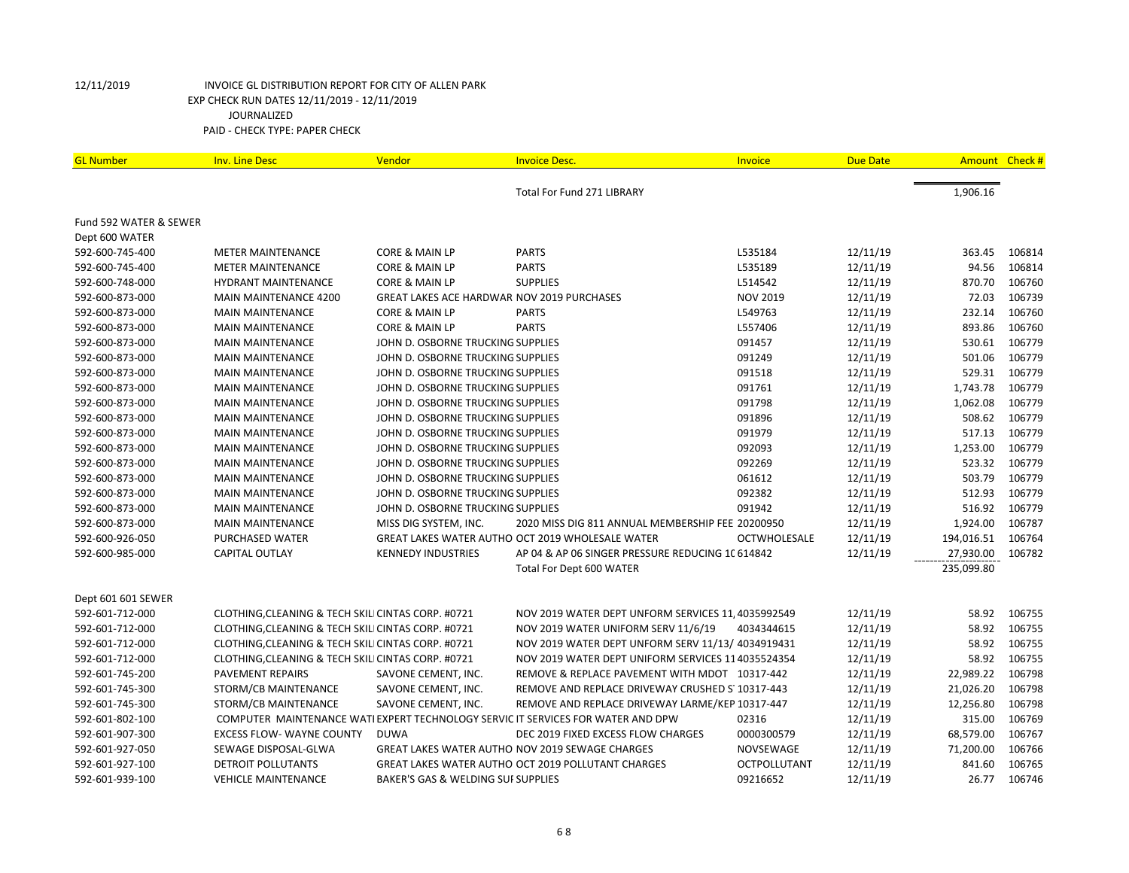| <b>GL Number</b>       | <b>Inv. Line Desc</b>                              | <b>Vendor</b>                                 | <b>Invoice Desc.</b>                                                             | Invoice             | <b>Due Date</b> | Amount Check # |        |
|------------------------|----------------------------------------------------|-----------------------------------------------|----------------------------------------------------------------------------------|---------------------|-----------------|----------------|--------|
|                        |                                                    |                                               | Total For Fund 271 LIBRARY                                                       |                     |                 | 1,906.16       |        |
| Fund 592 WATER & SEWER |                                                    |                                               |                                                                                  |                     |                 |                |        |
| Dept 600 WATER         |                                                    |                                               |                                                                                  |                     |                 |                |        |
| 592-600-745-400        | <b>METER MAINTENANCE</b>                           | CORE & MAIN LP                                | <b>PARTS</b>                                                                     | L535184             | 12/11/19        | 363.45         | 106814 |
| 592-600-745-400        | <b>METER MAINTENANCE</b>                           | CORE & MAIN LP                                | <b>PARTS</b>                                                                     | L535189             | 12/11/19        | 94.56          | 106814 |
| 592-600-748-000        | <b>HYDRANT MAINTENANCE</b>                         | <b>CORE &amp; MAIN LP</b>                     | <b>SUPPLIES</b>                                                                  | L514542             | 12/11/19        | 870.70         | 106760 |
| 592-600-873-000        | <b>MAIN MAINTENANCE 4200</b>                       |                                               | GREAT LAKES ACE HARDWAR NOV 2019 PURCHASES                                       | <b>NOV 2019</b>     | 12/11/19        | 72.03          | 106739 |
| 592-600-873-000        | <b>MAIN MAINTENANCE</b>                            | <b>CORE &amp; MAIN LP</b>                     | <b>PARTS</b>                                                                     | L549763             | 12/11/19        | 232.14         | 106760 |
| 592-600-873-000        | <b>MAIN MAINTENANCE</b>                            | CORE & MAIN LP                                | <b>PARTS</b>                                                                     | L557406             | 12/11/19        | 893.86         | 106760 |
| 592-600-873-000        | <b>MAIN MAINTENANCE</b>                            | JOHN D. OSBORNE TRUCKING SUPPLIES             |                                                                                  | 091457              | 12/11/19        | 530.61         | 106779 |
| 592-600-873-000        | <b>MAIN MAINTENANCE</b>                            | JOHN D. OSBORNE TRUCKING SUPPLIES             |                                                                                  | 091249              | 12/11/19        | 501.06         | 106779 |
| 592-600-873-000        | <b>MAIN MAINTENANCE</b>                            | JOHN D. OSBORNE TRUCKING SUPPLIES             |                                                                                  | 091518              | 12/11/19        | 529.31         | 106779 |
| 592-600-873-000        | <b>MAIN MAINTENANCE</b>                            | JOHN D. OSBORNE TRUCKING SUPPLIES             |                                                                                  | 091761              | 12/11/19        | 1,743.78       | 106779 |
| 592-600-873-000        | <b>MAIN MAINTENANCE</b>                            | JOHN D. OSBORNE TRUCKING SUPPLIES             |                                                                                  | 091798              | 12/11/19        | 1,062.08       | 106779 |
| 592-600-873-000        | <b>MAIN MAINTENANCE</b>                            | JOHN D. OSBORNE TRUCKING SUPPLIES             |                                                                                  | 091896              | 12/11/19        | 508.62         | 106779 |
| 592-600-873-000        | <b>MAIN MAINTENANCE</b>                            | JOHN D. OSBORNE TRUCKING SUPPLIES             |                                                                                  | 091979              | 12/11/19        | 517.13         | 106779 |
| 592-600-873-000        | <b>MAIN MAINTENANCE</b>                            | JOHN D. OSBORNE TRUCKING SUPPLIES             |                                                                                  | 092093              | 12/11/19        | 1,253.00       | 106779 |
| 592-600-873-000        | <b>MAIN MAINTENANCE</b>                            | JOHN D. OSBORNE TRUCKING SUPPLIES             |                                                                                  | 092269              | 12/11/19        | 523.32         | 106779 |
| 592-600-873-000        | <b>MAIN MAINTENANCE</b>                            | JOHN D. OSBORNE TRUCKING SUPPLIES             |                                                                                  | 061612              | 12/11/19        | 503.79         | 106779 |
| 592-600-873-000        | <b>MAIN MAINTENANCE</b>                            | JOHN D. OSBORNE TRUCKING SUPPLIES             |                                                                                  | 092382              | 12/11/19        | 512.93         | 106779 |
| 592-600-873-000        | <b>MAIN MAINTENANCE</b>                            | JOHN D. OSBORNE TRUCKING SUPPLIES             |                                                                                  | 091942              | 12/11/19        | 516.92         | 106779 |
| 592-600-873-000        | <b>MAIN MAINTENANCE</b>                            | MISS DIG SYSTEM, INC.                         | 2020 MISS DIG 811 ANNUAL MEMBERSHIP FEE 20200950                                 |                     | 12/11/19        | 1,924.00       | 106787 |
| 592-600-926-050        | PURCHASED WATER                                    |                                               | GREAT LAKES WATER AUTHO OCT 2019 WHOLESALE WATER                                 | <b>OCTWHOLESALE</b> | 12/11/19        | 194,016.51     | 106764 |
| 592-600-985-000        | <b>CAPITAL OUTLAY</b>                              | <b>KENNEDY INDUSTRIES</b>                     | AP 04 & AP 06 SINGER PRESSURE REDUCING 1C 614842                                 |                     | 12/11/19        | 27,930.00      | 106782 |
|                        |                                                    |                                               | Total For Dept 600 WATER                                                         |                     |                 | 235,099.80     |        |
| Dept 601 601 SEWER     |                                                    |                                               |                                                                                  |                     |                 |                |        |
| 592-601-712-000        | CLOTHING, CLEANING & TECH SKILI CINTAS CORP. #0721 |                                               | NOV 2019 WATER DEPT UNFORM SERVICES 11, 4035992549                               |                     | 12/11/19        | 58.92          | 106755 |
| 592-601-712-000        | CLOTHING, CLEANING & TECH SKILI CINTAS CORP. #0721 |                                               | NOV 2019 WATER UNIFORM SERV 11/6/19                                              | 4034344615          | 12/11/19        | 58.92          | 106755 |
| 592-601-712-000        | CLOTHING, CLEANING & TECH SKILI CINTAS CORP. #0721 |                                               | NOV 2019 WATER DEPT UNFORM SERV 11/13/ 4034919431                                |                     | 12/11/19        | 58.92          | 106755 |
| 592-601-712-000        | CLOTHING, CLEANING & TECH SKILI CINTAS CORP. #0721 |                                               | NOV 2019 WATER DEPT UNIFORM SERVICES 114035524354                                |                     | 12/11/19        | 58.92          | 106755 |
| 592-601-745-200        | <b>PAVEMENT REPAIRS</b>                            | SAVONE CEMENT, INC.                           | REMOVE & REPLACE PAVEMENT WITH MDOT 10317-442                                    |                     | 12/11/19        | 22,989.22      | 106798 |
| 592-601-745-300        | STORM/CB MAINTENANCE                               | SAVONE CEMENT, INC.                           | REMOVE AND REPLACE DRIVEWAY CRUSHED S' 10317-443                                 |                     | 12/11/19        | 21,026.20      | 106798 |
| 592-601-745-300        | STORM/CB MAINTENANCE                               | SAVONE CEMENT, INC.                           | REMOVE AND REPLACE DRIVEWAY LARME/KEP 10317-447                                  |                     | 12/11/19        | 12,256.80      | 106798 |
| 592-601-802-100        |                                                    |                                               | COMPUTER MAINTENANCE WATI EXPERT TECHNOLOGY SERVIC IT SERVICES FOR WATER AND DPW | 02316               | 12/11/19        | 315.00         | 106769 |
| 592-601-907-300        | <b>EXCESS FLOW- WAYNE COUNTY</b>                   | <b>DUWA</b>                                   | DEC 2019 FIXED EXCESS FLOW CHARGES                                               | 0000300579          | 12/11/19        | 68,579.00      | 106767 |
| 592-601-927-050        | SEWAGE DISPOSAL-GLWA                               |                                               | GREAT LAKES WATER AUTHO NOV 2019 SEWAGE CHARGES                                  | NOVSEWAGE           | 12/11/19        | 71,200.00      | 106766 |
| 592-601-927-100        | DETROIT POLLUTANTS                                 |                                               | <b>GREAT LAKES WATER AUTHO OCT 2019 POLLUTANT CHARGES</b>                        | <b>OCTPOLLUTANT</b> | 12/11/19        | 841.60         | 106765 |
| 592-601-939-100        | <b>VEHICLE MAINTENANCE</b>                         | <b>BAKER'S GAS &amp; WELDING SUI SUPPLIES</b> |                                                                                  | 09216652            | 12/11/19        | 26.77          | 106746 |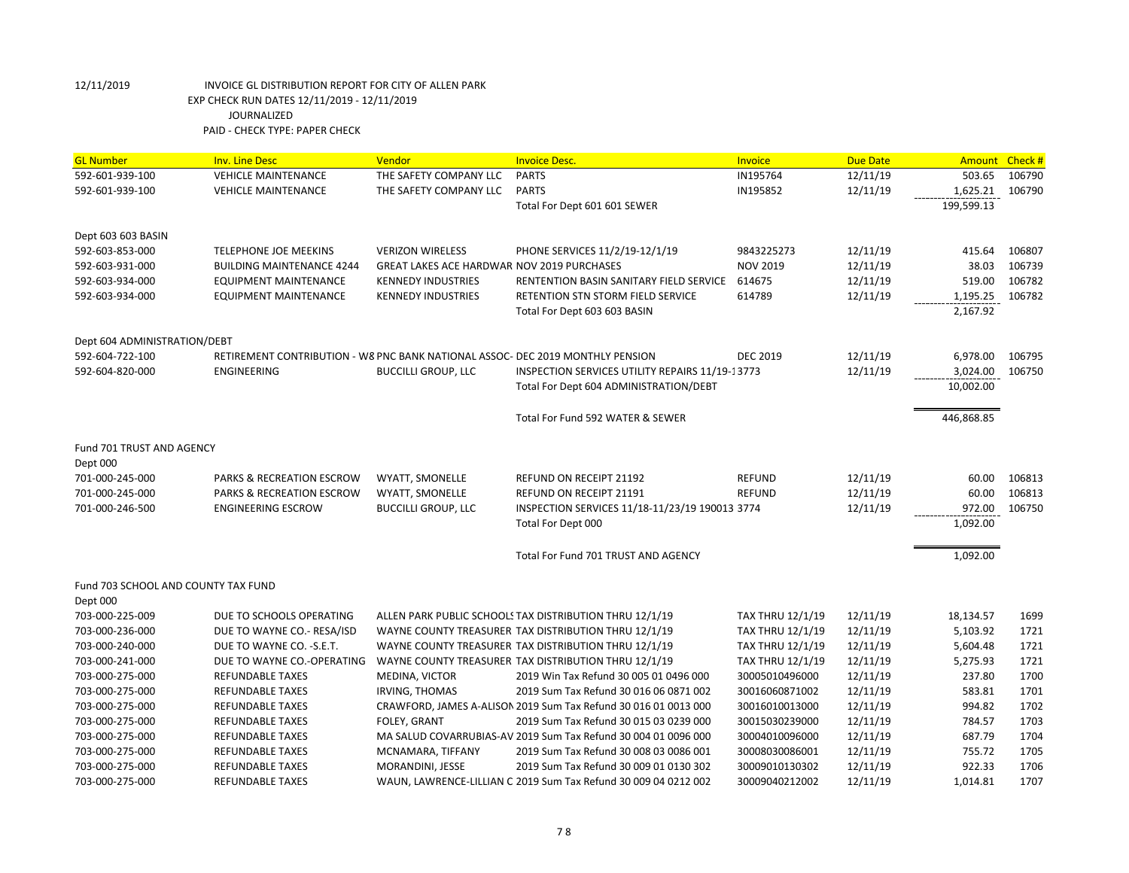| <b>GL Number</b>                    | <b>Inv. Line Desc</b>                                                          | Vendor                                     | <b>Invoice Desc.</b>                                            | Invoice                 | <b>Due Date</b> | Amount Check # |        |
|-------------------------------------|--------------------------------------------------------------------------------|--------------------------------------------|-----------------------------------------------------------------|-------------------------|-----------------|----------------|--------|
| 592-601-939-100                     | <b>VEHICLE MAINTENANCE</b>                                                     | THE SAFETY COMPANY LLC                     | <b>PARTS</b>                                                    | IN195764                | 12/11/19        | 503.65         | 106790 |
| 592-601-939-100                     | <b>VEHICLE MAINTENANCE</b>                                                     | THE SAFETY COMPANY LLC                     | <b>PARTS</b>                                                    | IN195852                | 12/11/19        | 1,625.21       | 106790 |
|                                     |                                                                                |                                            | Total For Dept 601 601 SEWER                                    |                         |                 | 199,599.13     |        |
| Dept 603 603 BASIN                  |                                                                                |                                            |                                                                 |                         |                 |                |        |
| 592-603-853-000                     | <b>TELEPHONE JOE MEEKINS</b>                                                   | <b>VERIZON WIRELESS</b>                    | PHONE SERVICES 11/2/19-12/1/19                                  | 9843225273              | 12/11/19        | 415.64         | 106807 |
| 592-603-931-000                     | <b>BUILDING MAINTENANCE 4244</b>                                               | GREAT LAKES ACE HARDWAR NOV 2019 PURCHASES |                                                                 | <b>NOV 2019</b>         | 12/11/19        | 38.03          | 106739 |
| 592-603-934-000                     | EQUIPMENT MAINTENANCE                                                          | <b>KENNEDY INDUSTRIES</b>                  | RENTENTION BASIN SANITARY FIELD SERVICE                         | 614675                  | 12/11/19        | 519.00         | 106782 |
| 592-603-934-000                     | EQUIPMENT MAINTENANCE                                                          | <b>KENNEDY INDUSTRIES</b>                  | RETENTION STN STORM FIELD SERVICE                               | 614789                  | 12/11/19        | 1,195.25       | 106782 |
|                                     |                                                                                |                                            | Total For Dept 603 603 BASIN                                    |                         |                 | 2,167.92       |        |
| Dept 604 ADMINISTRATION/DEBT        |                                                                                |                                            |                                                                 |                         |                 |                |        |
| 592-604-722-100                     | RETIREMENT CONTRIBUTION - W8 PNC BANK NATIONAL ASSOC- DEC 2019 MONTHLY PENSION |                                            |                                                                 | <b>DEC 2019</b>         | 12/11/19        | 6,978.00       | 106795 |
| 592-604-820-000                     | <b>ENGINEERING</b>                                                             | <b>BUCCILLI GROUP, LLC</b>                 | INSPECTION SERVICES UTILITY REPAIRS 11/19-13773                 |                         | 12/11/19        | 3,024.00       | 106750 |
|                                     |                                                                                |                                            | Total For Dept 604 ADMINISTRATION/DEBT                          |                         |                 | 10.002.00      |        |
|                                     |                                                                                |                                            | Total For Fund 592 WATER & SEWER                                |                         |                 | 446,868.85     |        |
| Fund 701 TRUST AND AGENCY           |                                                                                |                                            |                                                                 |                         |                 |                |        |
| Dept 000                            |                                                                                |                                            |                                                                 |                         |                 |                |        |
| 701-000-245-000                     | PARKS & RECREATION ESCROW                                                      | WYATT, SMONELLE                            | REFUND ON RECEIPT 21192                                         | <b>REFUND</b>           | 12/11/19        | 60.00          | 106813 |
| 701-000-245-000                     | PARKS & RECREATION ESCROW                                                      | WYATT, SMONELLE                            | REFUND ON RECEIPT 21191                                         | <b>REFUND</b>           | 12/11/19        | 60.00          | 106813 |
| 701-000-246-500                     | <b>ENGINEERING ESCROW</b>                                                      | <b>BUCCILLI GROUP, LLC</b>                 | INSPECTION SERVICES 11/18-11/23/19 190013 3774                  |                         | 12/11/19        | 972.00         | 106750 |
|                                     |                                                                                |                                            | Total For Dept 000                                              |                         |                 | 1,092.00       |        |
|                                     |                                                                                |                                            | Total For Fund 701 TRUST AND AGENCY                             |                         |                 | 1,092.00       |        |
| Fund 703 SCHOOL AND COUNTY TAX FUND |                                                                                |                                            |                                                                 |                         |                 |                |        |
| Dept 000                            |                                                                                |                                            |                                                                 |                         |                 |                |        |
| 703-000-225-009                     | DUE TO SCHOOLS OPERATING                                                       |                                            | ALLEN PARK PUBLIC SCHOOLS TAX DISTRIBUTION THRU 12/1/19         | TAX THRU 12/1/19        | 12/11/19        | 18,134.57      | 1699   |
| 703-000-236-000                     | DUE TO WAYNE CO.- RESA/ISD                                                     |                                            | WAYNE COUNTY TREASURER TAX DISTRIBUTION THRU 12/1/19            | TAX THRU 12/1/19        | 12/11/19        | 5,103.92       | 1721   |
| 703-000-240-000                     | DUE TO WAYNE CO. - S.E.T.                                                      |                                            | WAYNE COUNTY TREASURER TAX DISTRIBUTION THRU 12/1/19            | <b>TAX THRU 12/1/19</b> | 12/11/19        | 5,604.48       | 1721   |
| 703-000-241-000                     | DUE TO WAYNE CO.-OPERATING                                                     |                                            | WAYNE COUNTY TREASURER TAX DISTRIBUTION THRU 12/1/19            | <b>TAX THRU 12/1/19</b> | 12/11/19        | 5,275.93       | 1721   |
| 703-000-275-000                     | <b>REFUNDABLE TAXES</b>                                                        | MEDINA, VICTOR                             | 2019 Win Tax Refund 30 005 01 0496 000                          | 30005010496000          | 12/11/19        | 237.80         | 1700   |
| 703-000-275-000                     | <b>REFUNDABLE TAXES</b>                                                        | <b>IRVING, THOMAS</b>                      | 2019 Sum Tax Refund 30 016 06 0871 002                          | 30016060871002          | 12/11/19        | 583.81         | 1701   |
| 703-000-275-000                     | <b>REFUNDABLE TAXES</b>                                                        |                                            | CRAWFORD, JAMES A-ALISON 2019 Sum Tax Refund 30 016 01 0013 000 | 30016010013000          | 12/11/19        | 994.82         | 1702   |
| 703-000-275-000                     | <b>REFUNDABLE TAXES</b>                                                        | <b>FOLEY, GRANT</b>                        | 2019 Sum Tax Refund 30 015 03 0239 000                          | 30015030239000          | 12/11/19        | 784.57         | 1703   |
| 703-000-275-000                     | <b>REFUNDABLE TAXES</b>                                                        |                                            | MA SALUD COVARRUBIAS-AV 2019 Sum Tax Refund 30 004 01 0096 000  | 30004010096000          | 12/11/19        | 687.79         | 1704   |
| 703-000-275-000                     | <b>REFUNDABLE TAXES</b>                                                        | MCNAMARA, TIFFANY                          | 2019 Sum Tax Refund 30 008 03 0086 001                          | 30008030086001          | 12/11/19        | 755.72         | 1705   |
| 703-000-275-000                     | <b>REFUNDABLE TAXES</b>                                                        | MORANDINI, JESSE                           | 2019 Sum Tax Refund 30 009 01 0130 302                          | 30009010130302          | 12/11/19        | 922.33         | 1706   |
| 703-000-275-000                     | <b>REFUNDABLE TAXES</b>                                                        |                                            | WAUN, LAWRENCE-LILLIAN C 2019 Sum Tax Refund 30 009 04 0212 002 | 30009040212002          | 12/11/19        | 1,014.81       | 1707   |